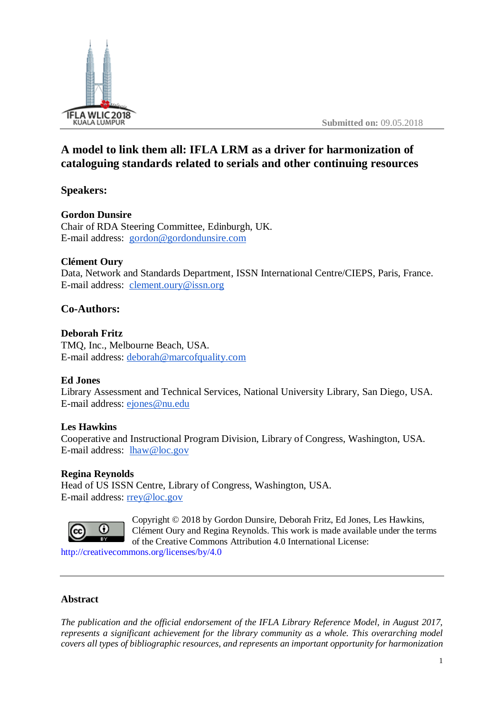

# **A model to link them all: IFLA LRM as a driver for harmonization of cataloguing standards related to serials and other continuing resources**

**Speakers:**

# **Gordon Dunsire**

Chair of RDA Steering Committee, Edinburgh, UK. E-mail address: [gordon@gordondunsire.com](mailto:gordon@gordondunsire.com)

# **Clément Oury**

Data, Network and Standards Department, ISSN International Centre/CIEPS, Paris, France. E-mail address: [clement.oury@issn.org](mailto:clement.oury@issn.org)

# **Co-Authors:**

# **Deborah Fritz**

TMQ, Inc., Melbourne Beach, USA. E-mail address: [deborah@marcofquality.com](mailto:deborah@marcofquality.com)

# **Ed Jones**

Library Assessment and Technical Services, National University Library, San Diego, USA. E-mail address: [ejones@nu.edu](mailto:ejones@nu.edu)

# **Les Hawkins**

Cooperative and Instructional Program Division, Library of Congress, Washington, USA. E-mail address: [lhaw@loc.gov](mailto:lhaw@loc.gov)

# **Regina Reynolds**

Head of US ISSN Centre, Library of Congress, Washington, USA. E-mail address: [rrey@loc.gov](mailto:rrey@loc.gov)



Copyright © 2018 by Gordon Dunsire, Deborah Fritz, Ed Jones, Les Hawkins, Clément Oury and Regina Reynolds. This work is made available under the terms of the Creative Commons Attribution 4.0 International License:

<http://creativecommons.org/licenses/by/4.0>

# **Abstract**

*The publication and the official endorsement of the IFLA Library Reference Model, in August 2017, represents a significant achievement for the library community as a whole. This overarching model covers all types of bibliographic resources, and represents an important opportunity for harmonization*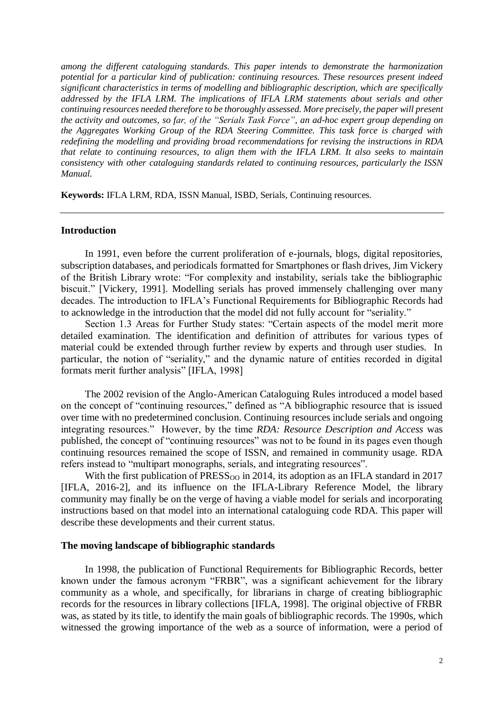*among the different cataloguing standards. This paper intends to demonstrate the harmonization potential for a particular kind of publication: continuing resources. These resources present indeed significant characteristics in terms of modelling and bibliographic description, which are specifically addressed by the IFLA LRM. The implications of IFLA LRM statements about serials and other continuing resources needed therefore to be thoroughly assessed. More precisely, the paper will present the activity and outcomes, so far, of the "Serials Task Force", an ad-hoc expert group depending on the Aggregates Working Group of the RDA Steering Committee. This task force is charged with redefining the modelling and providing broad recommendations for revising the instructions in RDA that relate to continuing resources, to align them with the IFLA LRM. It also seeks to maintain consistency with other cataloguing standards related to continuing resources, particularly the ISSN Manual.*

**Keywords:** IFLA LRM, RDA, ISSN Manual, ISBD, Serials, Continuing resources.

#### **Introduction**

In 1991, even before the current proliferation of e-journals, blogs, digital repositories, subscription databases, and periodicals formatted for Smartphones or flash drives, Jim Vickery of the British Library wrote: "For complexity and instability, serials take the bibliographic biscuit." [Vickery, 1991]. Modelling serials has proved immensely challenging over many decades. The introduction to IFLA's Functional Requirements for Bibliographic Records had to acknowledge in the introduction that the model did not fully account for "seriality."

Section 1.3 Areas for Further Study states: "Certain aspects of the model merit more detailed examination. The identification and definition of attributes for various types of material could be extended through further review by experts and through user studies. In particular, the notion of "seriality," and the dynamic nature of entities recorded in digital formats merit further analysis" [IFLA, 1998]

The 2002 revision of the Anglo-American Cataloguing Rules introduced a model based on the concept of "continuing resources," defined as "A bibliographic resource that is issued over time with no predetermined conclusion. Continuing resources include serials and ongoing integrating resources." However, by the time *RDA: Resource Description and Access* was published, the concept of "continuing resources" was not to be found in its pages even though continuing resources remained the scope of ISSN, and remained in community usage. RDA refers instead to "multipart monographs, serials, and integrating resources".

With the first publication of  $PRESS<sub>OO</sub>$  in 2014, its adoption as an IFLA standard in 2017 [IFLA, 2016-2], and its influence on the IFLA-Library Reference Model, the library community may finally be on the verge of having a viable model for serials and incorporating instructions based on that model into an international cataloguing code RDA. This paper will describe these developments and their current status.

#### **The moving landscape of bibliographic standards**

In 1998, the publication of Functional Requirements for Bibliographic Records, better known under the famous acronym "FRBR", was a significant achievement for the library community as a whole, and specifically, for librarians in charge of creating bibliographic records for the resources in library collections [IFLA, 1998]. The original objective of FRBR was, as stated by its title, to identify the main goals of bibliographic records. The 1990s, which witnessed the growing importance of the web as a source of information, were a period of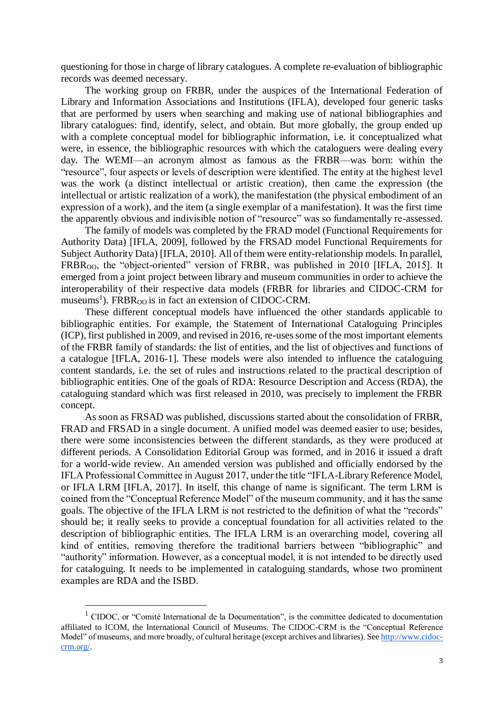questioning for those in charge of library catalogues. A complete re-evaluation of bibliographic records was deemed necessary.

The working group on FRBR, under the auspices of the International Federation of Library and Information Associations and Institutions (IFLA), developed four generic tasks that are performed by users when searching and making use of national bibliographies and library catalogues: find, identify, select, and obtain. But more globally, the group ended up with a complete conceptual model for bibliographic information, i.e. it conceptualized what were, in essence, the bibliographic resources with which the cataloguers were dealing every day. The WEMI—an acronym almost as famous as the FRBR—was born: within the "resource", four aspects or levels of description were identified. The entity at the highest level was the work (a distinct intellectual or artistic creation), then came the expression (the intellectual or artistic realization of a work), the manifestation (the physical embodiment of an expression of a work), and the item (a single exemplar of a manifestation). It was the first time the apparently obvious and indivisible notion of "resource" was so fundamentally re-assessed.

The family of models was completed by the FRAD model (Functional Requirements for Authority Data) [IFLA, 2009], followed by the FRSAD model Functional Requirements for Subject Authority Data) [IFLA, 2010]. All of them were entity-relationship models. In parallel, FRBR<sub>00</sub>, the "object-oriented" version of FRBR, was published in 2010 [IFLA, 2015]. It emerged from a joint project between library and museum communities in order to achieve the interoperability of their respective data models (FRBR for libraries and CIDOC-CRM for museums<sup>1</sup>). FRBR<sub>OO</sub> is in fact an extension of CIDOC-CRM.

These different conceptual models have influenced the other standards applicable to bibliographic entities. For example, the Statement of International Cataloguing Principles (ICP), first published in 2009, and revised in 2016, re-uses some of the most important elements of the FRBR family of standards: the list of entities, and the list of objectives and functions of a catalogue [IFLA, 2016-1]. These models were also intended to influence the cataloguing content standards, i.e. the set of rules and instructions related to the practical description of bibliographic entities. One of the goals of RDA: Resource Description and Access (RDA), the cataloguing standard which was first released in 2010, was precisely to implement the FRBR concept.

As soon as FRSAD was published, discussions started about the consolidation of FRBR, FRAD and FRSAD in a single document. A unified model was deemed easier to use; besides, there were some inconsistencies between the different standards, as they were produced at different periods. A Consolidation Editorial Group was formed, and in 2016 it issued a draft for a world-wide review. An amended version was published and officially endorsed by the IFLA Professional Committee in August 2017, under the title "IFLA-Library Reference Model, or IFLA LRM [IFLA, 2017]. In itself, this change of name is significant. The term LRM is coined from the "Conceptual Reference Model" of the museum community, and it has the same goals. The objective of the IFLA LRM is not restricted to the definition of what the "records" should be; it really seeks to provide a conceptual foundation for all activities related to the description of bibliographic entities. The IFLA LRM is an overarching model, covering all kind of entities, removing therefore the traditional barriers between "bibliographic" and "authority" information. However, as a conceptual model, it is not intended to be directly used for cataloguing. It needs to be implemented in cataloguing standards, whose two prominent examples are RDA and the ISBD.

 $\overline{a}$ 

<sup>&</sup>lt;sup>1</sup> CIDOC, or "Comité International de la Documentation", is the committee dedicated to documentation affiliated to ICOM, the International Council of Museums. The CIDOC-CRM is the "Conceptual Reference Model" of museums, and more broadly, of cultural heritage (except archives and libraries). Se[e http://www.cidoc](http://www.cidoc-crm.org/)[crm.org/.](http://www.cidoc-crm.org/)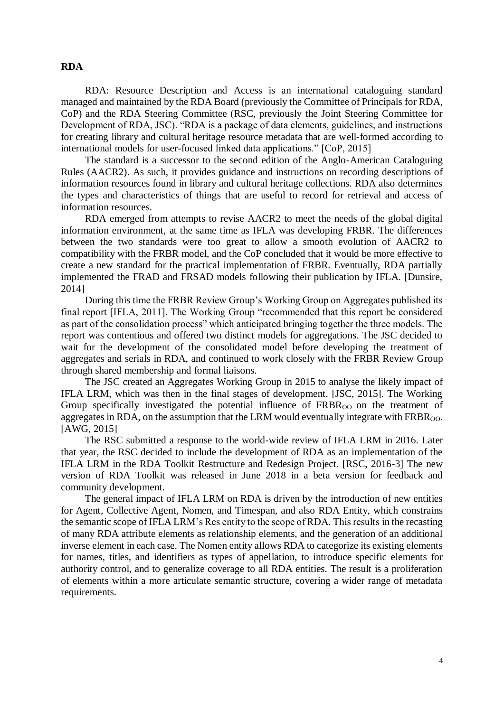#### **RDA**

RDA: Resource Description and Access is an international cataloguing standard managed and maintained by the RDA Board (previously the Committee of Principals for RDA, CoP) and the RDA Steering Committee (RSC, previously the Joint Steering Committee for Development of RDA, JSC). "RDA is a package of data elements, guidelines, and instructions for creating library and cultural heritage resource metadata that are well-formed according to international models for user-focused linked data applications." [CoP, 2015]

The standard is a successor to the second edition of the Anglo-American Cataloguing Rules (AACR2). As such, it provides guidance and instructions on recording descriptions of information resources found in library and cultural heritage collections. RDA also determines the types and characteristics of things that are useful to record for retrieval and access of information resources.

RDA emerged from attempts to revise AACR2 to meet the needs of the global digital information environment, at the same time as IFLA was developing FRBR. The differences between the two standards were too great to allow a smooth evolution of AACR2 to compatibility with the FRBR model, and the CoP concluded that it would be more effective to create a new standard for the practical implementation of FRBR. Eventually, RDA partially implemented the FRAD and FRSAD models following their publication by IFLA. [Dunsire, 2014]

During this time the FRBR Review Group's Working Group on Aggregates published its final report [IFLA, 2011]. The Working Group "recommended that this report be considered as part of the consolidation process" which anticipated bringing together the three models. The report was contentious and offered two distinct models for aggregations. The JSC decided to wait for the development of the consolidated model before developing the treatment of aggregates and serials in RDA, and continued to work closely with the FRBR Review Group through shared membership and formal liaisons.

The JSC created an Aggregates Working Group in 2015 to analyse the likely impact of IFLA LRM, which was then in the final stages of development. [JSC, 2015]. The Working Group specifically investigated the potential influence of  $FRBR<sub>OO</sub>$  on the treatment of aggregates in RDA, on the assumption that the LRM would eventually integrate with  $FRBR<sub>OO</sub>$ . [AWG, 2015]

The RSC submitted a response to the world-wide review of IFLA LRM in 2016. Later that year, the RSC decided to include the development of RDA as an implementation of the IFLA LRM in the RDA Toolkit Restructure and Redesign Project. [RSC, 2016-3] The new version of RDA Toolkit was released in June 2018 in a beta version for feedback and community development.

The general impact of IFLA LRM on RDA is driven by the introduction of new entities for Agent, Collective Agent, Nomen, and Timespan, and also RDA Entity, which constrains the semantic scope of IFLA LRM's Res entity to the scope of RDA. This results in the recasting of many RDA attribute elements as relationship elements, and the generation of an additional inverse element in each case. The Nomen entity allows RDA to categorize its existing elements for names, titles, and identifiers as types of appellation, to introduce specific elements for authority control, and to generalize coverage to all RDA entities. The result is a proliferation of elements within a more articulate semantic structure, covering a wider range of metadata requirements.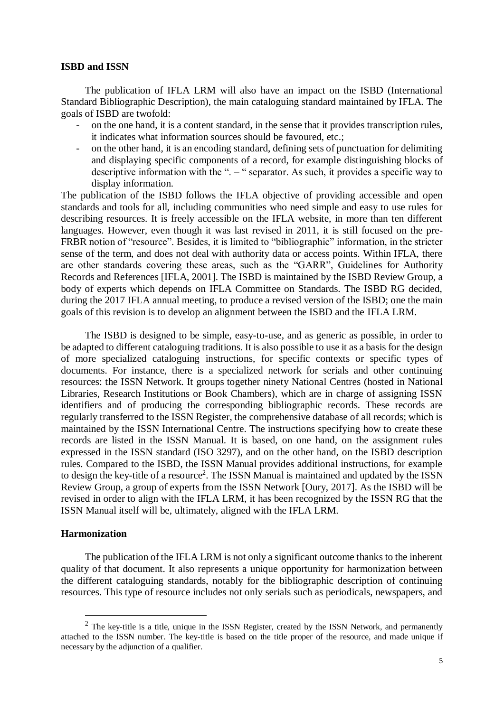#### **ISBD and ISSN**

The publication of IFLA LRM will also have an impact on the ISBD (International Standard Bibliographic Description), the main cataloguing standard maintained by IFLA. The goals of ISBD are twofold:

- on the one hand, it is a content standard, in the sense that it provides transcription rules, it indicates what information sources should be favoured, etc.;
- on the other hand, it is an encoding standard, defining sets of punctuation for delimiting and displaying specific components of a record, for example distinguishing blocks of descriptive information with the ". – " separator. As such, it provides a specific way to display information.

The publication of the ISBD follows the IFLA objective of providing accessible and open standards and tools for all, including communities who need simple and easy to use rules for describing resources. It is freely accessible on the IFLA website, in more than ten different languages. However, even though it was last revised in 2011, it is still focused on the pre-FRBR notion of "resource". Besides, it is limited to "bibliographic" information, in the stricter sense of the term, and does not deal with authority data or access points. Within IFLA, there are other standards covering these areas, such as the "GARR", Guidelines for Authority Records and References [IFLA, 2001]. The ISBD is maintained by the ISBD Review Group, a body of experts which depends on IFLA Committee on Standards. The ISBD RG decided, during the 2017 IFLA annual meeting, to produce a revised version of the ISBD; one the main goals of this revision is to develop an alignment between the ISBD and the IFLA LRM.

The ISBD is designed to be simple, easy-to-use, and as generic as possible, in order to be adapted to different cataloguing traditions. It is also possible to use it as a basis for the design of more specialized cataloguing instructions, for specific contexts or specific types of documents. For instance, there is a specialized network for serials and other continuing resources: the ISSN Network. It groups together ninety National Centres (hosted in National Libraries, Research Institutions or Book Chambers), which are in charge of assigning ISSN identifiers and of producing the corresponding bibliographic records. These records are regularly transferred to the ISSN Register, the comprehensive database of all records; which is maintained by the ISSN International Centre. The instructions specifying how to create these records are listed in the ISSN Manual. It is based, on one hand, on the assignment rules expressed in the ISSN standard (ISO 3297), and on the other hand, on the ISBD description rules. Compared to the ISBD, the ISSN Manual provides additional instructions, for example to design the key-title of a resource<sup>2</sup>. The ISSN Manual is maintained and updated by the ISSN Review Group, a group of experts from the ISSN Network [Oury, 2017]. As the ISBD will be revised in order to align with the IFLA LRM, it has been recognized by the ISSN RG that the ISSN Manual itself will be, ultimately, aligned with the IFLA LRM.

#### **Harmonization**

 $\overline{a}$ 

The publication of the IFLA LRM is not only a significant outcome thanks to the inherent quality of that document. It also represents a unique opportunity for harmonization between the different cataloguing standards, notably for the bibliographic description of continuing resources. This type of resource includes not only serials such as periodicals, newspapers, and

 $2$  The key-title is a title, unique in the ISSN Register, created by the ISSN Network, and permanently attached to the ISSN number. The key-title is based on the title proper of the resource, and made unique if necessary by the adjunction of a qualifier.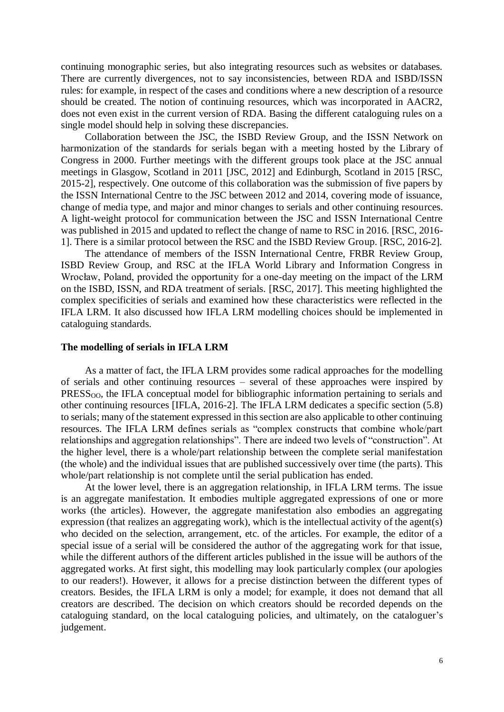continuing monographic series, but also integrating resources such as websites or databases. There are currently divergences, not to say inconsistencies, between RDA and ISBD/ISSN rules: for example, in respect of the cases and conditions where a new description of a resource should be created. The notion of continuing resources, which was incorporated in AACR2, does not even exist in the current version of RDA. Basing the different cataloguing rules on a single model should help in solving these discrepancies.

Collaboration between the JSC, the ISBD Review Group, and the ISSN Network on harmonization of the standards for serials began with a meeting hosted by the Library of Congress in 2000. Further meetings with the different groups took place at the JSC annual meetings in Glasgow, Scotland in 2011 [JSC, 2012] and Edinburgh, Scotland in 2015 [RSC, 2015-2], respectively. One outcome of this collaboration was the submission of five papers by the ISSN International Centre to the JSC between 2012 and 2014, covering mode of issuance, change of media type, and major and minor changes to serials and other continuing resources. A light-weight protocol for communication between the JSC and ISSN International Centre was published in 2015 and updated to reflect the change of name to RSC in 2016. [RSC, 2016- 1]. There is a similar protocol between the RSC and the ISBD Review Group. [RSC, 2016-2].

The attendance of members of the ISSN International Centre, FRBR Review Group, ISBD Review Group, and RSC at the IFLA World Library and Information Congress in Wrocław, Poland, provided the opportunity for a one-day meeting on the impact of the LRM on the ISBD, ISSN, and RDA treatment of serials. [RSC, 2017]. This meeting highlighted the complex specificities of serials and examined how these characteristics were reflected in the IFLA LRM. It also discussed how IFLA LRM modelling choices should be implemented in cataloguing standards.

#### **The modelling of serials in IFLA LRM**

As a matter of fact, the IFLA LRM provides some radical approaches for the modelling of serials and other continuing resources – several of these approaches were inspired by PRESS<sub>00</sub>, the IFLA conceptual model for bibliographic information pertaining to serials and other continuing resources [IFLA, 2016-2]. The IFLA LRM dedicates a specific section (5.8) to serials; many of the statement expressed in this section are also applicable to other continuing resources. The IFLA LRM defines serials as "complex constructs that combine whole/part relationships and aggregation relationships". There are indeed two levels of "construction". At the higher level, there is a whole/part relationship between the complete serial manifestation (the whole) and the individual issues that are published successively over time (the parts). This whole/part relationship is not complete until the serial publication has ended.

At the lower level, there is an aggregation relationship, in IFLA LRM terms. The issue is an aggregate manifestation. It embodies multiple aggregated expressions of one or more works (the articles). However, the aggregate manifestation also embodies an aggregating expression (that realizes an aggregating work), which is the intellectual activity of the agent(s) who decided on the selection, arrangement, etc. of the articles. For example, the editor of a special issue of a serial will be considered the author of the aggregating work for that issue, while the different authors of the different articles published in the issue will be authors of the aggregated works. At first sight, this modelling may look particularly complex (our apologies to our readers!). However, it allows for a precise distinction between the different types of creators. Besides, the IFLA LRM is only a model; for example, it does not demand that all creators are described. The decision on which creators should be recorded depends on the cataloguing standard, on the local cataloguing policies, and ultimately, on the cataloguer's judgement.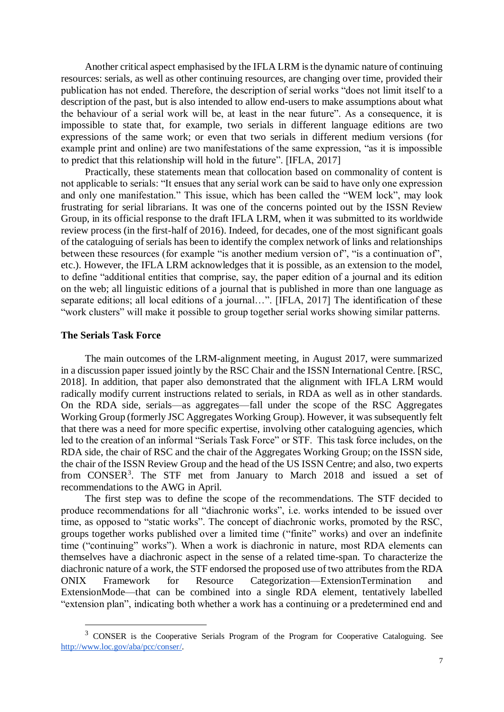Another critical aspect emphasised by the IFLA LRM is the dynamic nature of continuing resources: serials, as well as other continuing resources, are changing over time, provided their publication has not ended. Therefore, the description of serial works "does not limit itself to a description of the past, but is also intended to allow end-users to make assumptions about what the behaviour of a serial work will be, at least in the near future". As a consequence, it is impossible to state that, for example, two serials in different language editions are two expressions of the same work; or even that two serials in different medium versions (for example print and online) are two manifestations of the same expression, "as it is impossible to predict that this relationship will hold in the future". [IFLA, 2017]

Practically, these statements mean that collocation based on commonality of content is not applicable to serials: "It ensues that any serial work can be said to have only one expression and only one manifestation." This issue, which has been called the "WEM lock", may look frustrating for serial librarians. It was one of the concerns pointed out by the ISSN Review Group, in its official response to the draft IFLA LRM, when it was submitted to its worldwide review process (in the first-half of 2016). Indeed, for decades, one of the most significant goals of the cataloguing of serials has been to identify the complex network of links and relationships between these resources (for example "is another medium version of", "is a continuation of", etc.). However, the IFLA LRM acknowledges that it is possible, as an extension to the model, to define "additional entities that comprise, say, the paper edition of a journal and its edition on the web; all linguistic editions of a journal that is published in more than one language as separate editions; all local editions of a journal...". [IFLA, 2017] The identification of these "work clusters" will make it possible to group together serial works showing similar patterns.

#### **The Serials Task Force**

 $\overline{a}$ 

The main outcomes of the LRM-alignment meeting, in August 2017, were summarized in a discussion paper issued jointly by the RSC Chair and the ISSN International Centre. [RSC, 2018]. In addition, that paper also demonstrated that the alignment with IFLA LRM would radically modify current instructions related to serials, in RDA as well as in other standards. On the RDA side, serials—as aggregates—fall under the scope of the RSC Aggregates Working Group (formerly JSC Aggregates Working Group). However, it was subsequently felt that there was a need for more specific expertise, involving other cataloguing agencies, which led to the creation of an informal "Serials Task Force" or STF. This task force includes, on the RDA side, the chair of RSC and the chair of the Aggregates Working Group; on the ISSN side, the chair of the ISSN Review Group and the head of the US ISSN Centre; and also, two experts from CONSER<sup>3</sup>. The STF met from January to March 2018 and issued a set of recommendations to the AWG in April.

The first step was to define the scope of the recommendations. The STF decided to produce recommendations for all "diachronic works", i.e. works intended to be issued over time, as opposed to "static works". The concept of diachronic works, promoted by the RSC, groups together works published over a limited time ("finite" works) and over an indefinite time ("continuing" works"). When a work is diachronic in nature, most RDA elements can themselves have a diachronic aspect in the sense of a related time-span. To characterize the diachronic nature of a work, the STF endorsed the proposed use of two attributes from the RDA ONIX Framework for Resource Categorization—ExtensionTermination and ExtensionMode—that can be combined into a single RDA element, tentatively labelled "extension plan", indicating both whether a work has a continuing or a predetermined end and

<sup>&</sup>lt;sup>3</sup> CONSER is the Cooperative Serials Program of the Program for Cooperative Cataloguing. See [http://www.loc.gov/aba/pcc/conser/.](http://www.loc.gov/aba/pcc/conser/)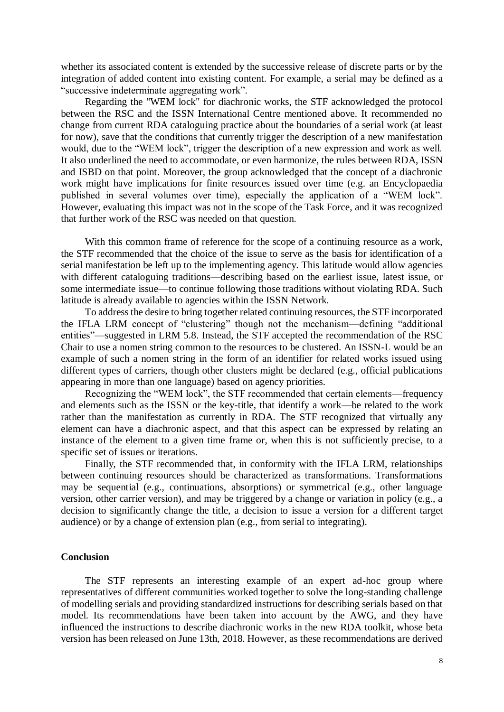whether its associated content is extended by the successive release of discrete parts or by the integration of added content into existing content. For example, a serial may be defined as a "successive indeterminate aggregating work".

Regarding the "WEM lock" for diachronic works, the STF acknowledged the protocol between the RSC and the ISSN International Centre mentioned above. It recommended no change from current RDA cataloguing practice about the boundaries of a serial work (at least for now), save that the conditions that currently trigger the description of a new manifestation would, due to the "WEM lock", trigger the description of a new expression and work as well. It also underlined the need to accommodate, or even harmonize, the rules between RDA, ISSN and ISBD on that point. Moreover, the group acknowledged that the concept of a diachronic work might have implications for finite resources issued over time (e.g. an Encyclopaedia published in several volumes over time), especially the application of a "WEM lock". However, evaluating this impact was not in the scope of the Task Force, and it was recognized that further work of the RSC was needed on that question.

With this common frame of reference for the scope of a continuing resource as a work, the STF recommended that the choice of the issue to serve as the basis for identification of a serial manifestation be left up to the implementing agency. This latitude would allow agencies with different cataloguing traditions—describing based on the earliest issue, latest issue, or some intermediate issue—to continue following those traditions without violating RDA. Such latitude is already available to agencies within the ISSN Network.

To address the desire to bring together related continuing resources, the STF incorporated the IFLA LRM concept of "clustering" though not the mechanism—defining "additional entities"—suggested in LRM 5.8. Instead, the STF accepted the recommendation of the RSC Chair to use a nomen string common to the resources to be clustered. An ISSN-L would be an example of such a nomen string in the form of an identifier for related works issued using different types of carriers, though other clusters might be declared (e.g., official publications appearing in more than one language) based on agency priorities.

Recognizing the "WEM lock", the STF recommended that certain elements—frequency and elements such as the ISSN or the key-title, that identify a work—be related to the work rather than the manifestation as currently in RDA. The STF recognized that virtually any element can have a diachronic aspect, and that this aspect can be expressed by relating an instance of the element to a given time frame or, when this is not sufficiently precise, to a specific set of issues or iterations.

Finally, the STF recommended that, in conformity with the IFLA LRM, relationships between continuing resources should be characterized as transformations. Transformations may be sequential (e.g., continuations, absorptions) or symmetrical (e.g., other language version, other carrier version), and may be triggered by a change or variation in policy (e.g., a decision to significantly change the title, a decision to issue a version for a different target audience) or by a change of extension plan (e.g., from serial to integrating).

#### **Conclusion**

The STF represents an interesting example of an expert ad-hoc group where representatives of different communities worked together to solve the long-standing challenge of modelling serials and providing standardized instructions for describing serials based on that model. Its recommendations have been taken into account by the AWG, and they have influenced the instructions to describe diachronic works in the new RDA toolkit, whose beta version has been released on June 13th, 2018. However, as these recommendations are derived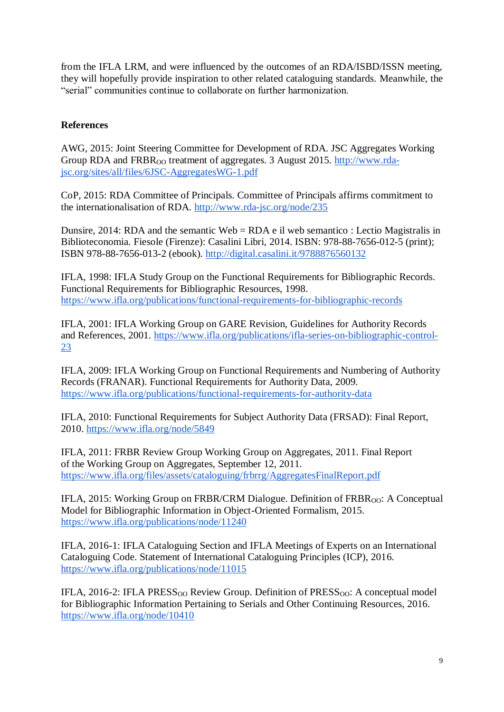from the IFLA LRM, and were influenced by the outcomes of an RDA/ISBD/ISSN meeting, they will hopefully provide inspiration to other related cataloguing standards. Meanwhile, the "serial" communities continue to collaborate on further harmonization.

# **References**

AWG, 2015: Joint Steering Committee for Development of RDA. JSC Aggregates Working Group RDA and FRBR<sub>00</sub> treatment of aggregates. 3 August 2015. [http://www.rda](http://www.rda-jsc.org/sites/all/files/6JSC-AggregatesWG-1.pdf)[jsc.org/sites/all/files/6JSC-AggregatesWG-1.pdf](http://www.rda-jsc.org/sites/all/files/6JSC-AggregatesWG-1.pdf)

CoP, 2015: RDA Committee of Principals. Committee of Principals affirms commitment to the internationalisation of RDA.<http://www.rda-jsc.org/node/235>

Dunsire, 2014: RDA and the semantic Web = RDA e il web semantico : Lectio Magistralis in Biblioteconomia. Fiesole (Firenze): Casalini Libri, 2014. ISBN: 978-88-7656-012-5 (print); ISBN 978-88-7656-013-2 (ebook).<http://digital.casalini.it/9788876560132>

IFLA, 1998: IFLA Study Group on the Functional Requirements for Bibliographic Records. Functional Requirements for Bibliographic Resources, 1998. <https://www.ifla.org/publications/functional-requirements-for-bibliographic-records>

IFLA, 2001: IFLA Working Group on GARE Revision, Guidelines for Authority Records and References, 2001. [https://www.ifla.org/publications/ifla-series-on-bibliographic-control-](https://www.ifla.org/publications/ifla-series-on-bibliographic-control-23)[23](https://www.ifla.org/publications/ifla-series-on-bibliographic-control-23)

IFLA, 2009: IFLA Working Group on Functional Requirements and Numbering of Authority Records (FRANAR). Functional Requirements for Authority Data, 2009. <https://www.ifla.org/publications/functional-requirements-for-authority-data>

IFLA, 2010: Functional Requirements for Subject Authority Data (FRSAD): Final Report, 2010.<https://www.ifla.org/node/5849>

IFLA, 2011: FRBR Review Group Working Group on Aggregates, 2011. Final Report of the Working Group on Aggregates, September 12, 2011. <https://www.ifla.org/files/assets/cataloguing/frbrrg/AggregatesFinalReport.pdf>

IFLA, 2015: Working Group on FRBR/CRM Dialogue. Definition of  $FRBR_{OO}$ : A Conceptual Model for Bibliographic Information in Object-Oriented Formalism, 2015. <https://www.ifla.org/publications/node/11240>

IFLA, 2016-1: IFLA Cataloguing Section and IFLA Meetings of Experts on an International Cataloguing Code. Statement of International Cataloguing Principles (ICP), 2016. <https://www.ifla.org/publications/node/11015>

IFLA, 2016-2: IFLA PRESS<sub>00</sub> Review Group. Definition of  $PRESS<sub>00</sub>$ : A conceptual model for Bibliographic Information Pertaining to Serials and Other Continuing Resources, 2016. <https://www.ifla.org/node/10410>